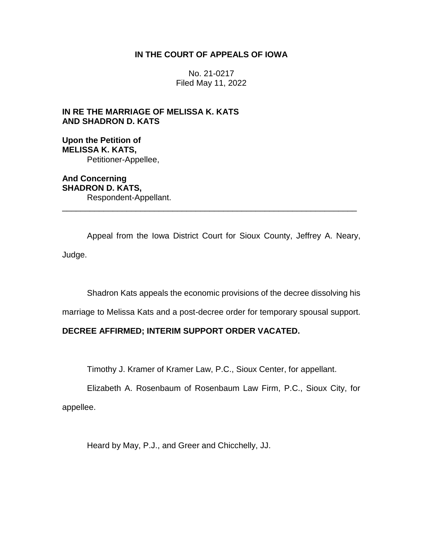## **IN THE COURT OF APPEALS OF IOWA**

No. 21-0217 Filed May 11, 2022

# **IN RE THE MARRIAGE OF MELISSA K. KATS AND SHADRON D. KATS**

**Upon the Petition of MELISSA K. KATS,** Petitioner-Appellee,

**And Concerning SHADRON D. KATS,** Respondent-Appellant. \_\_\_\_\_\_\_\_\_\_\_\_\_\_\_\_\_\_\_\_\_\_\_\_\_\_\_\_\_\_\_\_\_\_\_\_\_\_\_\_\_\_\_\_\_\_\_\_\_\_\_\_\_\_\_\_\_\_\_\_\_\_\_\_

Appeal from the Iowa District Court for Sioux County, Jeffrey A. Neary, Judge.

Shadron Kats appeals the economic provisions of the decree dissolving his

marriage to Melissa Kats and a post-decree order for temporary spousal support.

# **DECREE AFFIRMED; INTERIM SUPPORT ORDER VACATED.**

Timothy J. Kramer of Kramer Law, P.C., Sioux Center, for appellant.

Elizabeth A. Rosenbaum of Rosenbaum Law Firm, P.C., Sioux City, for appellee.

Heard by May, P.J., and Greer and Chicchelly, JJ.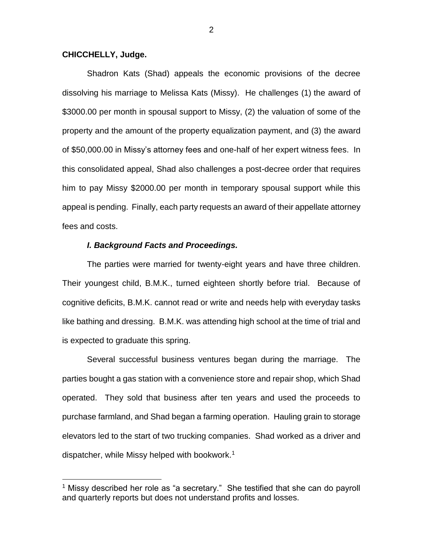### **CHICCHELLY, Judge.**

 $\overline{a}$ 

Shadron Kats (Shad) appeals the economic provisions of the decree dissolving his marriage to Melissa Kats (Missy). He challenges (1) the award of \$3000.00 per month in spousal support to Missy, (2) the valuation of some of the property and the amount of the property equalization payment, and (3) the award of \$50,000.00 in Missy's attorney fees and one-half of her expert witness fees. In this consolidated appeal, Shad also challenges a post-decree order that requires him to pay Missy \$2000.00 per month in temporary spousal support while this appeal is pending. Finally, each party requests an award of their appellate attorney fees and costs.

### *I. Background Facts and Proceedings.*

The parties were married for twenty-eight years and have three children. Their youngest child, B.M.K., turned eighteen shortly before trial. Because of cognitive deficits, B.M.K. cannot read or write and needs help with everyday tasks like bathing and dressing. B.M.K. was attending high school at the time of trial and is expected to graduate this spring.

Several successful business ventures began during the marriage. The parties bought a gas station with a convenience store and repair shop, which Shad operated. They sold that business after ten years and used the proceeds to purchase farmland, and Shad began a farming operation. Hauling grain to storage elevators led to the start of two trucking companies. Shad worked as a driver and dispatcher, while Missy helped with bookwork.<sup>1</sup>

<sup>&</sup>lt;sup>1</sup> Missy described her role as "a secretary." She testified that she can do payroll and quarterly reports but does not understand profits and losses.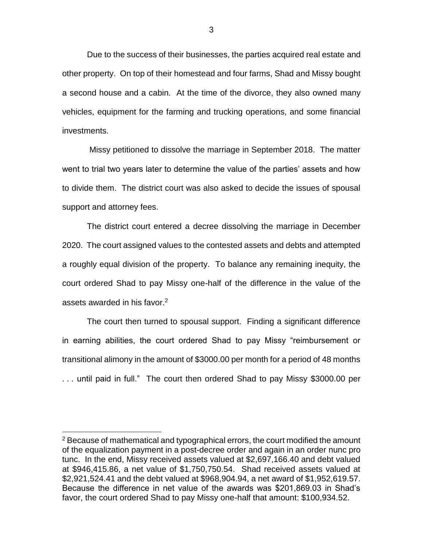Due to the success of their businesses, the parties acquired real estate and other property. On top of their homestead and four farms, Shad and Missy bought a second house and a cabin. At the time of the divorce, they also owned many vehicles, equipment for the farming and trucking operations, and some financial investments.

Missy petitioned to dissolve the marriage in September 2018. The matter went to trial two years later to determine the value of the parties' assets and how to divide them. The district court was also asked to decide the issues of spousal support and attorney fees.

The district court entered a decree dissolving the marriage in December 2020. The court assigned values to the contested assets and debts and attempted a roughly equal division of the property. To balance any remaining inequity, the court ordered Shad to pay Missy one-half of the difference in the value of the assets awarded in his favor.<sup>2</sup>

The court then turned to spousal support. Finding a significant difference in earning abilities, the court ordered Shad to pay Missy "reimbursement or transitional alimony in the amount of \$3000.00 per month for a period of 48 months . . . until paid in full." The court then ordered Shad to pay Missy \$3000.00 per

 $2$  Because of mathematical and typographical errors, the court modified the amount of the equalization payment in a post-decree order and again in an order nunc pro tunc. In the end, Missy received assets valued at \$2,697,166.40 and debt valued at \$946,415.86, a net value of \$1,750,750.54. Shad received assets valued at \$2,921,524.41 and the debt valued at \$968,904.94, a net award of \$1,952,619.57. Because the difference in net value of the awards was \$201,869.03 in Shad's favor, the court ordered Shad to pay Missy one-half that amount: \$100,934.52.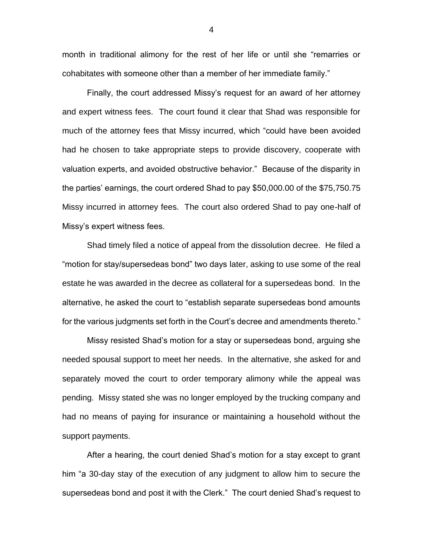month in traditional alimony for the rest of her life or until she "remarries or cohabitates with someone other than a member of her immediate family."

Finally, the court addressed Missy's request for an award of her attorney and expert witness fees. The court found it clear that Shad was responsible for much of the attorney fees that Missy incurred, which "could have been avoided had he chosen to take appropriate steps to provide discovery, cooperate with valuation experts, and avoided obstructive behavior." Because of the disparity in the parties' earnings, the court ordered Shad to pay \$50,000.00 of the \$75,750.75 Missy incurred in attorney fees. The court also ordered Shad to pay one-half of Missy's expert witness fees.

Shad timely filed a notice of appeal from the dissolution decree. He filed a "motion for stay/supersedeas bond" two days later, asking to use some of the real estate he was awarded in the decree as collateral for a supersedeas bond. In the alternative, he asked the court to "establish separate supersedeas bond amounts for the various judgments set forth in the Court's decree and amendments thereto."

Missy resisted Shad's motion for a stay or supersedeas bond, arguing she needed spousal support to meet her needs. In the alternative, she asked for and separately moved the court to order temporary alimony while the appeal was pending. Missy stated she was no longer employed by the trucking company and had no means of paying for insurance or maintaining a household without the support payments.

After a hearing, the court denied Shad's motion for a stay except to grant him "a 30-day stay of the execution of any judgment to allow him to secure the supersedeas bond and post it with the Clerk." The court denied Shad's request to

4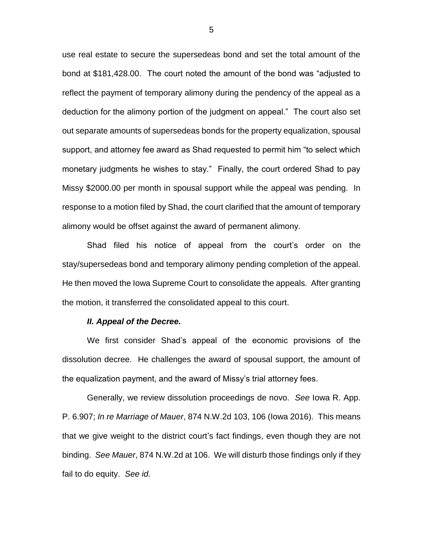use real estate to secure the supersedeas bond and set the total amount of the bond at \$181,428.00. The court noted the amount of the bond was "adjusted to reflect the payment of temporary alimony during the pendency of the appeal as a deduction for the alimony portion of the judgment on appeal." The court also set out separate amounts of supersedeas bonds for the property equalization, spousal support, and attorney fee award as Shad requested to permit him "to select which monetary judgments he wishes to stay." Finally, the court ordered Shad to pay Missy \$2000.00 per month in spousal support while the appeal was pending. In response to a motion filed by Shad, the court clarified that the amount of temporary alimony would be offset against the award of permanent alimony.

Shad filed his notice of appeal from the court's order on the stay/supersedeas bond and temporary alimony pending completion of the appeal. He then moved the Iowa Supreme Court to consolidate the appeals. After granting the motion, it transferred the consolidated appeal to this court.

#### *II. Appeal of the Decree.*

We first consider Shad's appeal of the economic provisions of the dissolution decree. He challenges the award of spousal support, the amount of the equalization payment, and the award of Missy's trial attorney fees.

Generally, we review dissolution proceedings de novo. *See* Iowa R. App. P. 6.907; *In re Marriage of Mauer*, 874 N.W.2d 103, 106 (Iowa 2016). This means that we give weight to the district court's fact findings, even though they are not binding. *See Mauer*, 874 N.W.2d at 106. We will disturb those findings only if they fail to do equity. *See id.*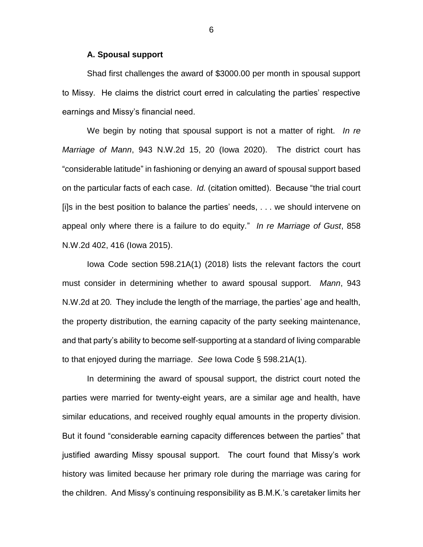#### **A. Spousal support**

Shad first challenges the award of \$3000.00 per month in spousal support to Missy. He claims the district court erred in calculating the parties' respective earnings and Missy's financial need.

We begin by noting that spousal support is not a matter of right. *In re Marriage of Mann*, 943 N.W.2d 15, 20 (Iowa 2020). The district court has "considerable latitude" in fashioning or denying an award of spousal support based on the particular facts of each case. *Id.* (citation omitted). Because "the trial court [i]s in the best position to balance the parties' needs, . . . we should intervene on appeal only where there is a failure to do equity." *In re Marriage of Gust*, 858 N.W.2d 402, 416 (Iowa 2015).

Iowa Code section 598.21A(1) (2018) lists the relevant factors the court must consider in determining whether to award spousal support. *Mann*, 943 N.W.2d at 20*.* They include the length of the marriage, the parties' age and health, the property distribution, the earning capacity of the party seeking maintenance, and that party's ability to become self-supporting at a standard of living comparable to that enjoyed during the marriage. *See* Iowa Code § 598.21A(1).

In determining the award of spousal support, the district court noted the parties were married for twenty-eight years, are a similar age and health, have similar educations, and received roughly equal amounts in the property division. But it found "considerable earning capacity differences between the parties" that justified awarding Missy spousal support. The court found that Missy's work history was limited because her primary role during the marriage was caring for the children. And Missy's continuing responsibility as B.M.K.'s caretaker limits her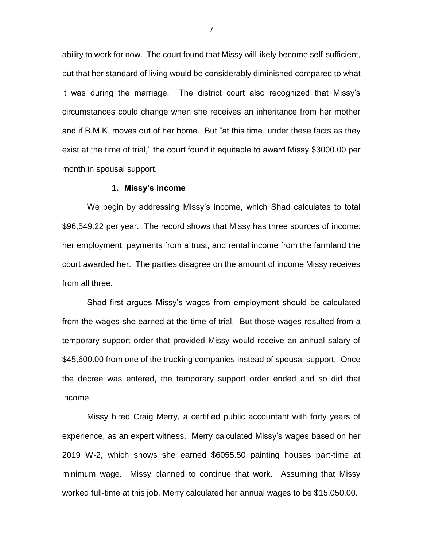ability to work for now. The court found that Missy will likely become self-sufficient, but that her standard of living would be considerably diminished compared to what it was during the marriage. The district court also recognized that Missy's circumstances could change when she receives an inheritance from her mother and if B.M.K. moves out of her home. But "at this time, under these facts as they exist at the time of trial," the court found it equitable to award Missy \$3000.00 per month in spousal support.

#### **1. Missy's income**

We begin by addressing Missy's income, which Shad calculates to total \$96,549.22 per year. The record shows that Missy has three sources of income: her employment, payments from a trust, and rental income from the farmland the court awarded her. The parties disagree on the amount of income Missy receives from all three.

Shad first argues Missy's wages from employment should be calculated from the wages she earned at the time of trial. But those wages resulted from a temporary support order that provided Missy would receive an annual salary of \$45,600.00 from one of the trucking companies instead of spousal support. Once the decree was entered, the temporary support order ended and so did that income.

Missy hired Craig Merry, a certified public accountant with forty years of experience, as an expert witness. Merry calculated Missy's wages based on her 2019 W-2, which shows she earned \$6055.50 painting houses part-time at minimum wage. Missy planned to continue that work. Assuming that Missy worked full-time at this job, Merry calculated her annual wages to be \$15,050.00.

7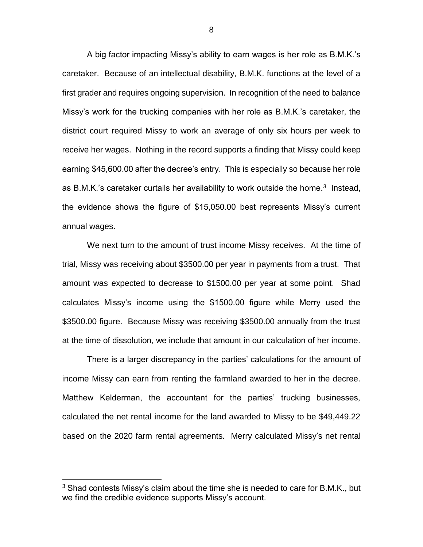A big factor impacting Missy's ability to earn wages is her role as B.M.K.'s caretaker. Because of an intellectual disability, B.M.K. functions at the level of a first grader and requires ongoing supervision. In recognition of the need to balance Missy's work for the trucking companies with her role as B.M.K.'s caretaker, the district court required Missy to work an average of only six hours per week to receive her wages. Nothing in the record supports a finding that Missy could keep earning \$45,600.00 after the decree's entry. This is especially so because her role as B.M.K.'s caretaker curtails her availability to work outside the home. $3$  Instead, the evidence shows the figure of \$15,050.00 best represents Missy's current annual wages.

We next turn to the amount of trust income Missy receives. At the time of trial, Missy was receiving about \$3500.00 per year in payments from a trust. That amount was expected to decrease to \$1500.00 per year at some point. Shad calculates Missy's income using the \$1500.00 figure while Merry used the \$3500.00 figure. Because Missy was receiving \$3500.00 annually from the trust at the time of dissolution, we include that amount in our calculation of her income.

There is a larger discrepancy in the parties' calculations for the amount of income Missy can earn from renting the farmland awarded to her in the decree. Matthew Kelderman, the accountant for the parties' trucking businesses, calculated the net rental income for the land awarded to Missy to be \$49,449.22 based on the 2020 farm rental agreements. Merry calculated Missy's net rental

 $3$  Shad contests Missy's claim about the time she is needed to care for B.M.K., but we find the credible evidence supports Missy's account.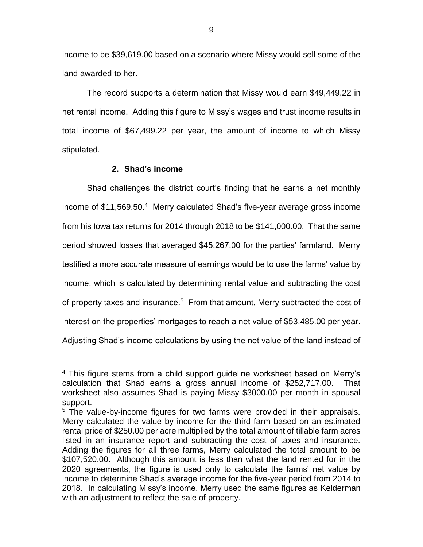income to be \$39,619.00 based on a scenario where Missy would sell some of the land awarded to her.

The record supports a determination that Missy would earn \$49,449.22 in net rental income. Adding this figure to Missy's wages and trust income results in total income of \$67,499.22 per year, the amount of income to which Missy stipulated.

### **2. Shad's income**

 $\overline{a}$ 

Shad challenges the district court's finding that he earns a net monthly income of \$11,569.50.<sup>4</sup> Merry calculated Shad's five-year average gross income from his Iowa tax returns for 2014 through 2018 to be \$141,000.00. That the same period showed losses that averaged \$45,267.00 for the parties' farmland. Merry testified a more accurate measure of earnings would be to use the farms' value by income, which is calculated by determining rental value and subtracting the cost of property taxes and insurance.<sup>5</sup> From that amount, Merry subtracted the cost of interest on the properties' mortgages to reach a net value of \$53,485.00 per year. Adjusting Shad's income calculations by using the net value of the land instead of

<sup>&</sup>lt;sup>4</sup> This figure stems from a child support guideline worksheet based on Merry's calculation that Shad earns a gross annual income of \$252,717.00. That worksheet also assumes Shad is paying Missy \$3000.00 per month in spousal support.

<sup>&</sup>lt;sup>5</sup> The value-by-income figures for two farms were provided in their appraisals. Merry calculated the value by income for the third farm based on an estimated rental price of \$250.00 per acre multiplied by the total amount of tillable farm acres listed in an insurance report and subtracting the cost of taxes and insurance. Adding the figures for all three farms, Merry calculated the total amount to be \$107,520.00. Although this amount is less than what the land rented for in the 2020 agreements, the figure is used only to calculate the farms' net value by income to determine Shad's average income for the five-year period from 2014 to 2018. In calculating Missy's income, Merry used the same figures as Kelderman with an adjustment to reflect the sale of property.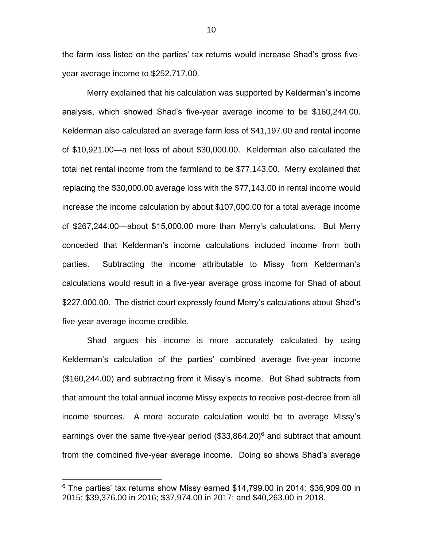the farm loss listed on the parties' tax returns would increase Shad's gross fiveyear average income to \$252,717.00.

Merry explained that his calculation was supported by Kelderman's income analysis, which showed Shad's five-year average income to be \$160,244.00. Kelderman also calculated an average farm loss of \$41,197.00 and rental income of \$10,921.00—a net loss of about \$30,000.00. Kelderman also calculated the total net rental income from the farmland to be \$77,143.00. Merry explained that replacing the \$30,000.00 average loss with the \$77,143.00 in rental income would increase the income calculation by about \$107,000.00 for a total average income of \$267,244.00—about \$15,000.00 more than Merry's calculations. But Merry conceded that Kelderman's income calculations included income from both parties. Subtracting the income attributable to Missy from Kelderman's calculations would result in a five-year average gross income for Shad of about \$227,000.00. The district court expressly found Merry's calculations about Shad's five-year average income credible.

Shad argues his income is more accurately calculated by using Kelderman's calculation of the parties' combined average five-year income (\$160,244.00) and subtracting from it Missy's income. But Shad subtracts from that amount the total annual income Missy expects to receive post-decree from all income sources. A more accurate calculation would be to average Missy's earnings over the same five-year period (\$33,864.20)<sup>6</sup> and subtract that amount from the combined five-year average income. Doing so shows Shad's average

 $6$  The parties' tax returns show Missy earned \$14,799.00 in 2014; \$36,909.00 in 2015; \$39,376.00 in 2016; \$37,974.00 in 2017; and \$40,263.00 in 2018.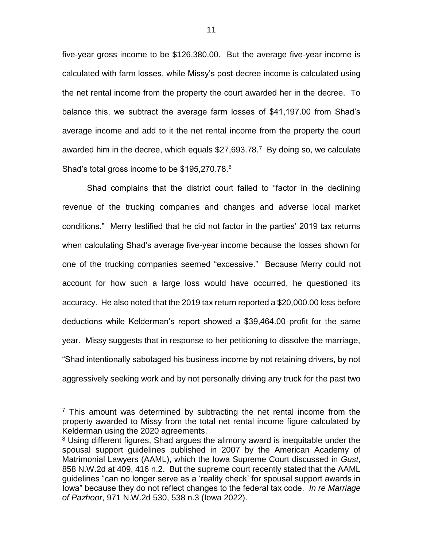five-year gross income to be \$126,380.00. But the average five-year income is calculated with farm losses, while Missy's post-decree income is calculated using the net rental income from the property the court awarded her in the decree. To balance this, we subtract the average farm losses of \$41,197.00 from Shad's average income and add to it the net rental income from the property the court awarded him in the decree, which equals  $$27,693.78$ <sup>7</sup> By doing so, we calculate Shad's total gross income to be \$195,270.78.<sup>8</sup>

Shad complains that the district court failed to "factor in the declining revenue of the trucking companies and changes and adverse local market conditions." Merry testified that he did not factor in the parties' 2019 tax returns when calculating Shad's average five-year income because the losses shown for one of the trucking companies seemed "excessive." Because Merry could not account for how such a large loss would have occurred, he questioned its accuracy. He also noted that the 2019 tax return reported a \$20,000.00 loss before deductions while Kelderman's report showed a \$39,464.00 profit for the same year. Missy suggests that in response to her petitioning to dissolve the marriage, "Shad intentionally sabotaged his business income by not retaining drivers, by not aggressively seeking work and by not personally driving any truck for the past two

 $7$  This amount was determined by subtracting the net rental income from the property awarded to Missy from the total net rental income figure calculated by Kelderman using the 2020 agreements.

<sup>&</sup>lt;sup>8</sup> Using different figures, Shad argues the alimony award is inequitable under the spousal support guidelines published in 2007 by the American Academy of Matrimonial Lawyers (AAML), which the Iowa Supreme Court discussed in *Gust*, 858 N.W.2d at 409, 416 n.2. But the supreme court recently stated that the AAML guidelines "can no longer serve as a 'reality check' for spousal support awards in Iowa" because they do not reflect changes to the federal tax code. *In re Marriage of Pazhoor*, 971 N.W.2d 530, 538 n.3 (Iowa 2022).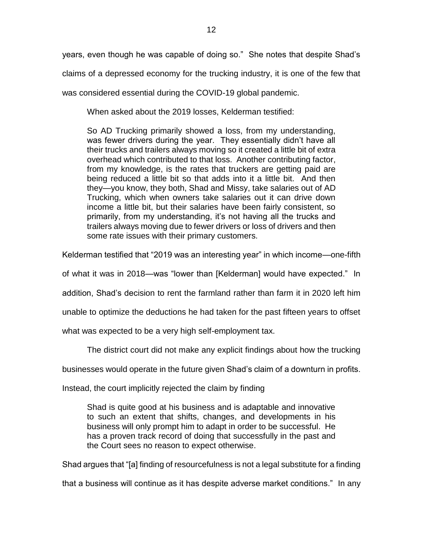years, even though he was capable of doing so." She notes that despite Shad's claims of a depressed economy for the trucking industry, it is one of the few that was considered essential during the COVID-19 global pandemic.

When asked about the 2019 losses, Kelderman testified:

So AD Trucking primarily showed a loss, from my understanding, was fewer drivers during the year. They essentially didn't have all their trucks and trailers always moving so it created a little bit of extra overhead which contributed to that loss. Another contributing factor, from my knowledge, is the rates that truckers are getting paid are being reduced a little bit so that adds into it a little bit. And then they—you know, they both, Shad and Missy, take salaries out of AD Trucking, which when owners take salaries out it can drive down income a little bit, but their salaries have been fairly consistent, so primarily, from my understanding, it's not having all the trucks and trailers always moving due to fewer drivers or loss of drivers and then some rate issues with their primary customers.

Kelderman testified that "2019 was an interesting year" in which income—one-fifth

of what it was in 2018—was "lower than [Kelderman] would have expected." In

addition, Shad's decision to rent the farmland rather than farm it in 2020 left him

unable to optimize the deductions he had taken for the past fifteen years to offset

what was expected to be a very high self-employment tax.

The district court did not make any explicit findings about how the trucking

businesses would operate in the future given Shad's claim of a downturn in profits.

Instead, the court implicitly rejected the claim by finding

Shad is quite good at his business and is adaptable and innovative to such an extent that shifts, changes, and developments in his business will only prompt him to adapt in order to be successful. He has a proven track record of doing that successfully in the past and the Court sees no reason to expect otherwise.

Shad argues that "[a] finding of resourcefulness is not a legal substitute for a finding

that a business will continue as it has despite adverse market conditions." In any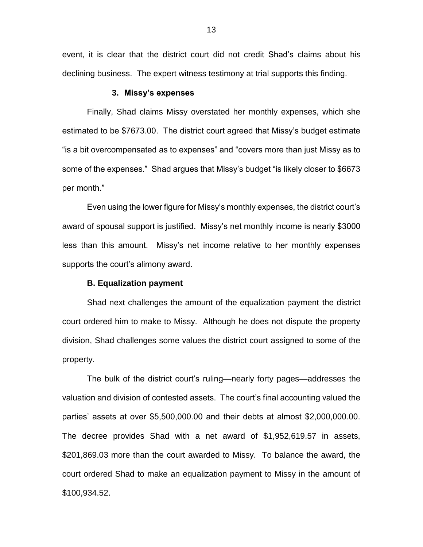event, it is clear that the district court did not credit Shad's claims about his declining business. The expert witness testimony at trial supports this finding.

#### **3. Missy's expenses**

Finally, Shad claims Missy overstated her monthly expenses, which she estimated to be \$7673.00. The district court agreed that Missy's budget estimate "is a bit overcompensated as to expenses" and "covers more than just Missy as to some of the expenses." Shad argues that Missy's budget "is likely closer to \$6673 per month."

Even using the lower figure for Missy's monthly expenses, the district court's award of spousal support is justified. Missy's net monthly income is nearly \$3000 less than this amount. Missy's net income relative to her monthly expenses supports the court's alimony award.

### **B. Equalization payment**

Shad next challenges the amount of the equalization payment the district court ordered him to make to Missy. Although he does not dispute the property division, Shad challenges some values the district court assigned to some of the property.

The bulk of the district court's ruling—nearly forty pages—addresses the valuation and division of contested assets. The court's final accounting valued the parties' assets at over \$5,500,000.00 and their debts at almost \$2,000,000.00. The decree provides Shad with a net award of \$1,952,619.57 in assets, \$201,869.03 more than the court awarded to Missy. To balance the award, the court ordered Shad to make an equalization payment to Missy in the amount of \$100,934.52.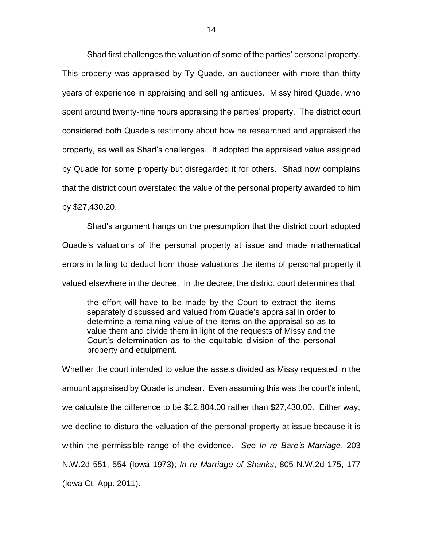Shad first challenges the valuation of some of the parties' personal property. This property was appraised by Ty Quade, an auctioneer with more than thirty years of experience in appraising and selling antiques. Missy hired Quade, who spent around twenty-nine hours appraising the parties' property. The district court considered both Quade's testimony about how he researched and appraised the property, as well as Shad's challenges. It adopted the appraised value assigned by Quade for some property but disregarded it for others. Shad now complains that the district court overstated the value of the personal property awarded to him by \$27,430.20.

Shad's argument hangs on the presumption that the district court adopted Quade's valuations of the personal property at issue and made mathematical errors in failing to deduct from those valuations the items of personal property it valued elsewhere in the decree. In the decree, the district court determines that

the effort will have to be made by the Court to extract the items separately discussed and valued from Quade's appraisal in order to determine a remaining value of the items on the appraisal so as to value them and divide them in light of the requests of Missy and the Court's determination as to the equitable division of the personal property and equipment.

Whether the court intended to value the assets divided as Missy requested in the amount appraised by Quade is unclear. Even assuming this was the court's intent, we calculate the difference to be \$12,804.00 rather than \$27,430.00. Either way, we decline to disturb the valuation of the personal property at issue because it is within the permissible range of the evidence. *See In re Bare's Marriage*, 203 N.W.2d 551, 554 (Iowa 1973); *In re Marriage of Shanks*, 805 N.W.2d 175, 177 (Iowa Ct. App. 2011).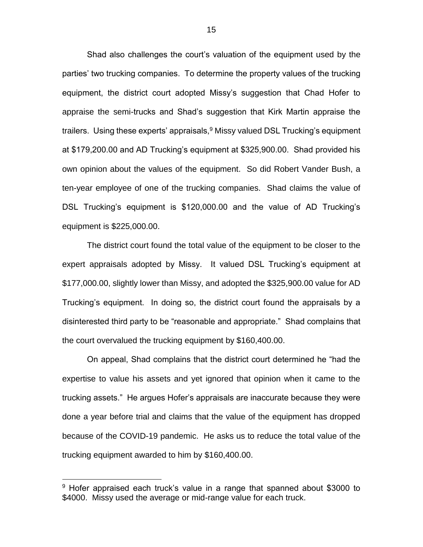Shad also challenges the court's valuation of the equipment used by the parties' two trucking companies. To determine the property values of the trucking equipment, the district court adopted Missy's suggestion that Chad Hofer to appraise the semi-trucks and Shad's suggestion that Kirk Martin appraise the trailers. Using these experts' appraisals,<sup>9</sup> Missy valued DSL Trucking's equipment at \$179,200.00 and AD Trucking's equipment at \$325,900.00. Shad provided his own opinion about the values of the equipment. So did Robert Vander Bush, a ten-year employee of one of the trucking companies. Shad claims the value of DSL Trucking's equipment is \$120,000.00 and the value of AD Trucking's equipment is \$225,000.00.

The district court found the total value of the equipment to be closer to the expert appraisals adopted by Missy. It valued DSL Trucking's equipment at \$177,000.00, slightly lower than Missy, and adopted the \$325,900.00 value for AD Trucking's equipment. In doing so, the district court found the appraisals by a disinterested third party to be "reasonable and appropriate." Shad complains that the court overvalued the trucking equipment by \$160,400.00.

On appeal, Shad complains that the district court determined he "had the expertise to value his assets and yet ignored that opinion when it came to the trucking assets." He argues Hofer's appraisals are inaccurate because they were done a year before trial and claims that the value of the equipment has dropped because of the COVID-19 pandemic. He asks us to reduce the total value of the trucking equipment awarded to him by \$160,400.00.

 $9$  Hofer appraised each truck's value in a range that spanned about \$3000 to \$4000. Missy used the average or mid-range value for each truck.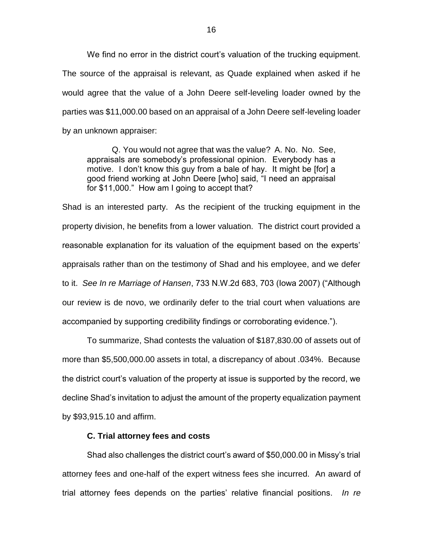We find no error in the district court's valuation of the trucking equipment. The source of the appraisal is relevant, as Quade explained when asked if he would agree that the value of a John Deere self-leveling loader owned by the parties was \$11,000.00 based on an appraisal of a John Deere self-leveling loader by an unknown appraiser:

Q. You would not agree that was the value? A. No. No. See, appraisals are somebody's professional opinion. Everybody has a motive. I don't know this guy from a bale of hay. It might be [for] a good friend working at John Deere [who] said, "I need an appraisal for \$11,000." How am I going to accept that?

Shad is an interested party. As the recipient of the trucking equipment in the property division, he benefits from a lower valuation. The district court provided a reasonable explanation for its valuation of the equipment based on the experts' appraisals rather than on the testimony of Shad and his employee, and we defer to it. *See In re Marriage of Hansen*, 733 N.W.2d 683, 703 (Iowa 2007) ("Although our review is de novo, we ordinarily defer to the trial court when valuations are accompanied by supporting credibility findings or corroborating evidence.").

To summarize, Shad contests the valuation of \$187,830.00 of assets out of more than \$5,500,000.00 assets in total, a discrepancy of about .034%. Because the district court's valuation of the property at issue is supported by the record, we decline Shad's invitation to adjust the amount of the property equalization payment by \$93,915.10 and affirm.

#### **C. Trial attorney fees and costs**

Shad also challenges the district court's award of \$50,000.00 in Missy's trial attorney fees and one-half of the expert witness fees she incurred. An award of trial attorney fees depends on the parties' relative financial positions. *In re*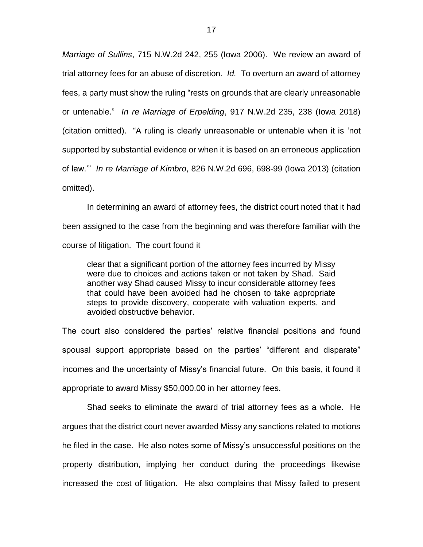*Marriage of Sullins*, 715 N.W.2d 242, 255 (Iowa 2006). We review an award of trial attorney fees for an abuse of discretion. *Id.* To overturn an award of attorney fees, a party must show the ruling "rests on grounds that are clearly unreasonable or untenable." *In re Marriage of Erpelding*, 917 N.W.2d 235, 238 (Iowa 2018) (citation omitted). "A ruling is clearly unreasonable or untenable when it is 'not supported by substantial evidence or when it is based on an erroneous application of law.'" *In re Marriage of Kimbro*, 826 N.W.2d 696, 698-99 (Iowa 2013) (citation omitted).

In determining an award of attorney fees, the district court noted that it had been assigned to the case from the beginning and was therefore familiar with the course of litigation. The court found it

clear that a significant portion of the attorney fees incurred by Missy were due to choices and actions taken or not taken by Shad. Said another way Shad caused Missy to incur considerable attorney fees that could have been avoided had he chosen to take appropriate steps to provide discovery, cooperate with valuation experts, and avoided obstructive behavior.

The court also considered the parties' relative financial positions and found spousal support appropriate based on the parties' "different and disparate" incomes and the uncertainty of Missy's financial future. On this basis, it found it appropriate to award Missy \$50,000.00 in her attorney fees.

Shad seeks to eliminate the award of trial attorney fees as a whole. He argues that the district court never awarded Missy any sanctions related to motions he filed in the case. He also notes some of Missy's unsuccessful positions on the property distribution, implying her conduct during the proceedings likewise increased the cost of litigation. He also complains that Missy failed to present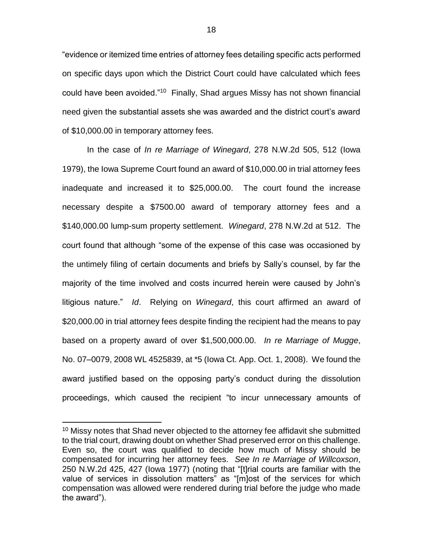"evidence or itemized time entries of attorney fees detailing specific acts performed on specific days upon which the District Court could have calculated which fees could have been avoided."<sup>10</sup> Finally, Shad argues Missy has not shown financial need given the substantial assets she was awarded and the district court's award of \$10,000.00 in temporary attorney fees.

In the case of *In re Marriage of Winegard*, 278 N.W.2d 505, 512 (Iowa 1979), the Iowa Supreme Court found an award of \$10,000.00 in trial attorney fees inadequate and increased it to \$25,000.00. The court found the increase necessary despite a \$7500.00 award of temporary attorney fees and a \$140,000.00 lump-sum property settlement. *Winegard*, 278 N.W.2d at 512. The court found that although "some of the expense of this case was occasioned by the untimely filing of certain documents and briefs by Sally's counsel, by far the majority of the time involved and costs incurred herein were caused by John's litigious nature." *Id*. Relying on *Winegard*, this court affirmed an award of \$20,000.00 in trial attorney fees despite finding the recipient had the means to pay based on a property award of over \$1,500,000.00. *In re Marriage of Mugge*, No. 07–0079, 2008 WL 4525839, at \*5 (Iowa Ct. App. Oct. 1, 2008). We found the award justified based on the opposing party's conduct during the dissolution proceedings, which caused the recipient "to incur unnecessary amounts of

 $10$  Missy notes that Shad never objected to the attorney fee affidavit she submitted to the trial court, drawing doubt on whether Shad preserved error on this challenge. Even so, the court was qualified to decide how much of Missy should be compensated for incurring her attorney fees. *See In re Marriage of Willcoxson*, 250 N.W.2d 425, 427 (Iowa 1977) (noting that "[t]rial courts are familiar with the value of services in dissolution matters" as "[m]ost of the services for which compensation was allowed were rendered during trial before the judge who made the award").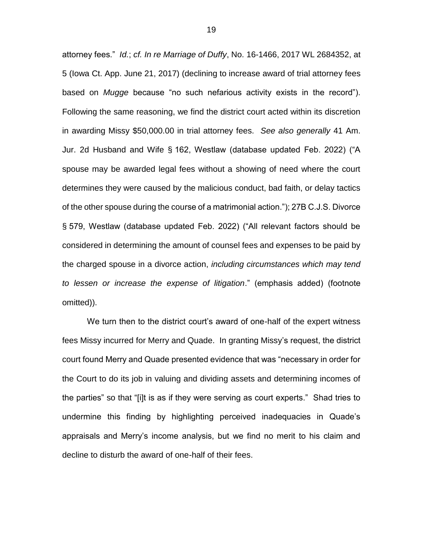attorney fees." *Id.*; *cf. In re Marriage of Duffy*, No. 16-1466, 2017 WL 2684352, at 5 (Iowa Ct. App. June 21, 2017) (declining to increase award of trial attorney fees based on *Mugge* because "no such nefarious activity exists in the record"). Following the same reasoning, we find the district court acted within its discretion in awarding Missy \$50,000.00 in trial attorney fees. *See also generally* 41 Am. Jur. 2d Husband and Wife § 162, Westlaw (database updated Feb. 2022) ("A spouse may be awarded legal fees without a showing of need where the court determines they were caused by the malicious conduct, bad faith, or delay tactics of the other spouse during the course of a matrimonial action."); 27B C.J.S. Divorce § 579, Westlaw (database updated Feb. 2022) ("All relevant factors should be considered in determining the amount of counsel fees and expenses to be paid by the charged spouse in a divorce action, *including circumstances which may tend to lessen or increase the expense of litigation*." (emphasis added) (footnote omitted)).

We turn then to the district court's award of one-half of the expert witness fees Missy incurred for Merry and Quade. In granting Missy's request, the district court found Merry and Quade presented evidence that was "necessary in order for the Court to do its job in valuing and dividing assets and determining incomes of the parties" so that "[i]t is as if they were serving as court experts." Shad tries to undermine this finding by highlighting perceived inadequacies in Quade's appraisals and Merry's income analysis, but we find no merit to his claim and decline to disturb the award of one-half of their fees.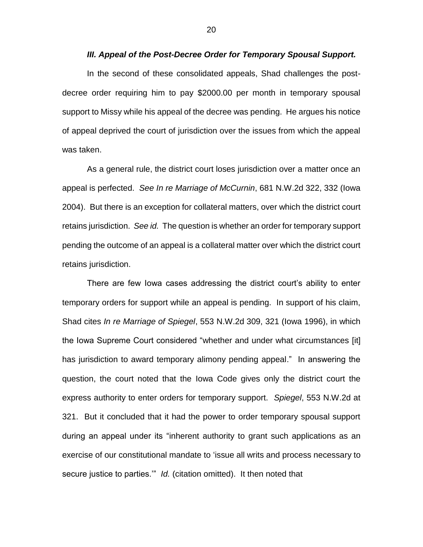#### *III. Appeal of the Post-Decree Order for Temporary Spousal Support.*

In the second of these consolidated appeals, Shad challenges the postdecree order requiring him to pay \$2000.00 per month in temporary spousal support to Missy while his appeal of the decree was pending. He argues his notice of appeal deprived the court of jurisdiction over the issues from which the appeal was taken.

As a general rule, the district court loses jurisdiction over a matter once an appeal is perfected. *See In re Marriage of McCurnin*, 681 N.W.2d 322, 332 (Iowa 2004). But there is an exception for collateral matters, over which the district court retains jurisdiction. *See id.* The question is whether an order for temporary support pending the outcome of an appeal is a collateral matter over which the district court retains jurisdiction.

There are few Iowa cases addressing the district court's ability to enter temporary orders for support while an appeal is pending. In support of his claim, Shad cites *In re Marriage of Spiegel*, 553 N.W.2d 309, 321 (Iowa 1996), in which the Iowa Supreme Court considered "whether and under what circumstances [it] has jurisdiction to award temporary alimony pending appeal." In answering the question, the court noted that the Iowa Code gives only the district court the express authority to enter orders for temporary support. *Spiegel*, 553 N.W.2d at 321. But it concluded that it had the power to order temporary spousal support during an appeal under its "inherent authority to grant such applications as an exercise of our constitutional mandate to 'issue all writs and process necessary to secure justice to parties.'" *Id.* (citation omitted). It then noted that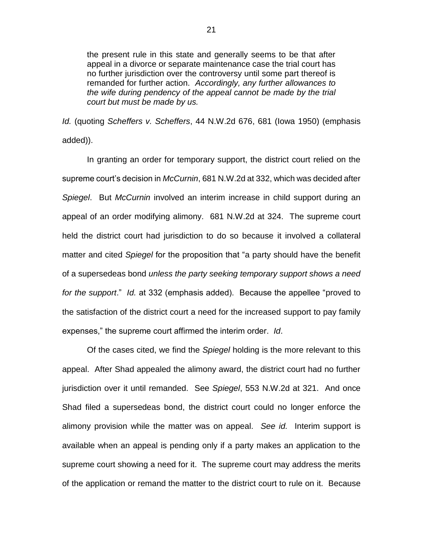the present rule in this state and generally seems to be that after appeal in a divorce or separate maintenance case the trial court has no further jurisdiction over the controversy until some part thereof is remanded for further action. *Accordingly, any further allowances to the wife during pendency of the appeal cannot be made by the trial court but must be made by us.*

*Id.* (quoting *Scheffers v. Scheffers*, 44 N.W.2d 676, 681 (Iowa 1950) (emphasis added)).

In granting an order for temporary support, the district court relied on the supreme court's decision in *McCurnin*, 681 N.W.2d at 332, which was decided after *Spiegel*.But *McCurnin* involved an interim increase in child support during an appeal of an order modifying alimony. 681 N.W.2d at 324. The supreme court held the district court had jurisdiction to do so because it involved a collateral matter and cited *Spiegel* for the proposition that "a party should have the benefit of a supersedeas bond *unless the party seeking temporary support shows a need for the support*." *Id.* at 332 (emphasis added). Because the appellee "proved to the satisfaction of the district court a need for the increased support to pay family expenses," the supreme court affirmed the interim order. *Id*.

Of the cases cited, we find the *Spiegel* holding is the more relevant to this appeal. After Shad appealed the alimony award, the district court had no further jurisdiction over it until remanded. See *Spiegel*, 553 N.W.2d at 321. And once Shad filed a supersedeas bond, the district court could no longer enforce the alimony provision while the matter was on appeal. *See id.* Interim support is available when an appeal is pending only if a party makes an application to the supreme court showing a need for it. The supreme court may address the merits of the application or remand the matter to the district court to rule on it. Because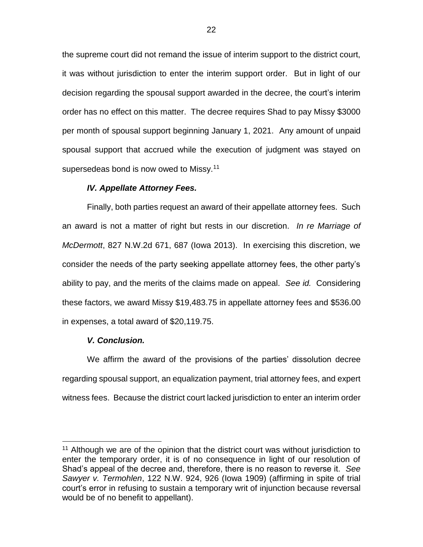the supreme court did not remand the issue of interim support to the district court, it was without jurisdiction to enter the interim support order. But in light of our decision regarding the spousal support awarded in the decree, the court's interim order has no effect on this matter. The decree requires Shad to pay Missy \$3000 per month of spousal support beginning January 1, 2021. Any amount of unpaid spousal support that accrued while the execution of judgment was stayed on supersedeas bond is now owed to Missy.<sup>11</sup>

### *IV. Appellate Attorney Fees.*

Finally, both parties request an award of their appellate attorney fees. Such an award is not a matter of right but rests in our discretion. *In re Marriage of McDermott*, 827 N.W.2d 671, 687 (Iowa 2013). In exercising this discretion, we consider the needs of the party seeking appellate attorney fees, the other party's ability to pay, and the merits of the claims made on appeal. *See id.* Considering these factors, we award Missy \$19,483.75 in appellate attorney fees and \$536.00 in expenses, a total award of \$20,119.75.

### *V. Conclusion.*

 $\overline{a}$ 

We affirm the award of the provisions of the parties' dissolution decree regarding spousal support, an equalization payment, trial attorney fees, and expert witness fees. Because the district court lacked jurisdiction to enter an interim order

<sup>&</sup>lt;sup>11</sup> Although we are of the opinion that the district court was without jurisdiction to enter the temporary order, it is of no consequence in light of our resolution of Shad's appeal of the decree and, therefore, there is no reason to reverse it. *See Sawyer v. Termohlen*, 122 N.W. 924, 926 (Iowa 1909) (affirming in spite of trial court's error in refusing to sustain a temporary writ of injunction because reversal would be of no benefit to appellant).